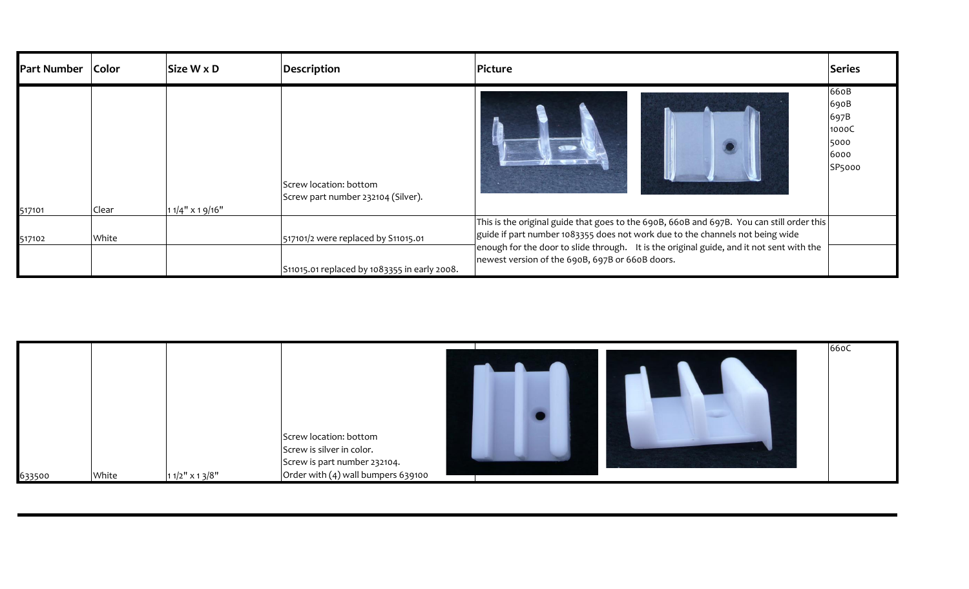| Color | Size W x D | Description                                                  | Picture                                      | Series                                                                                                                                                                                                                                                                                                                            |
|-------|------------|--------------------------------------------------------------|----------------------------------------------|-----------------------------------------------------------------------------------------------------------------------------------------------------------------------------------------------------------------------------------------------------------------------------------------------------------------------------------|
| Clear |            | Screw location: bottom<br>Screw part number 232104 (Silver). |                                              | 660B<br>690B<br>697B<br>1000C<br>5000<br>6000<br>SP5000                                                                                                                                                                                                                                                                           |
| White |            | 517101/2 were replaced by S11015.01                          |                                              |                                                                                                                                                                                                                                                                                                                                   |
|       |            | $11/4$ " x 1 9/16"                                           | S11015.01 replaced by 1083355 in early 2008. | This is the original guide that goes to the 690B, 660B and 697B. You can still order this<br>guide if part number 1083355 does not work due to the channels not being wide<br>$\vert$ enough for the door to slide through. It is the original guide, and it not sent with the<br>newest version of the 690B, 697B or 660B doors. |

|        |       |                  |                                                                                                                             | 66oC |
|--------|-------|------------------|-----------------------------------------------------------------------------------------------------------------------------|------|
| 633500 | White | $11/2"$ x 1 3/8" | Screw location: bottom<br>Screw is silver in color.<br>Screw is part number 232104.<br>Order with $(4)$ wall bumpers 639100 |      |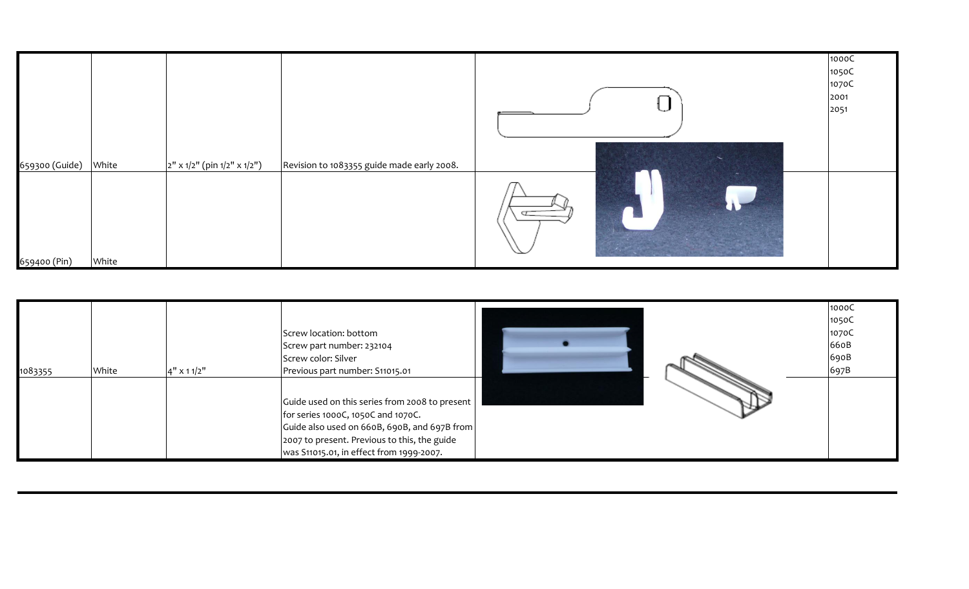|                |       |                                |                                            |                       | 1000C |
|----------------|-------|--------------------------------|--------------------------------------------|-----------------------|-------|
|                |       |                                |                                            |                       | 1050C |
|                |       |                                |                                            |                       | 1070C |
|                |       |                                |                                            |                       | 2001  |
|                |       |                                |                                            |                       | 2051  |
|                |       |                                |                                            |                       |       |
|                |       |                                |                                            |                       |       |
|                |       |                                |                                            |                       |       |
|                |       |                                |                                            |                       |       |
| 659300 (Guide) | White | $2''$ x 1/2" (pin 1/2" x 1/2") | Revision to 1083355 guide made early 2008. |                       |       |
|                |       |                                |                                            | $\sigma$ and $\sigma$ |       |
| 659400 (Pin)   | White |                                |                                            |                       |       |

| 1083355 | White | $4'' \times 11/2''$ | Screw location: bottom<br>Screw part number: 232104<br>Screw color: Silver<br>Previous part number: S11015.01                                                                                                                     |  | 1000C<br>1050C<br>1070C<br>660B<br>690B<br>697B |
|---------|-------|---------------------|-----------------------------------------------------------------------------------------------------------------------------------------------------------------------------------------------------------------------------------|--|-------------------------------------------------|
|         |       |                     | Guide used on this series from 2008 to present<br>for series 1000C, 1050C and 1070C.<br>Guide also used on 660B, 690B, and 697B from<br>2007 to present. Previous to this, the guide<br> was S11015.01, in effect from 1999-2007. |  |                                                 |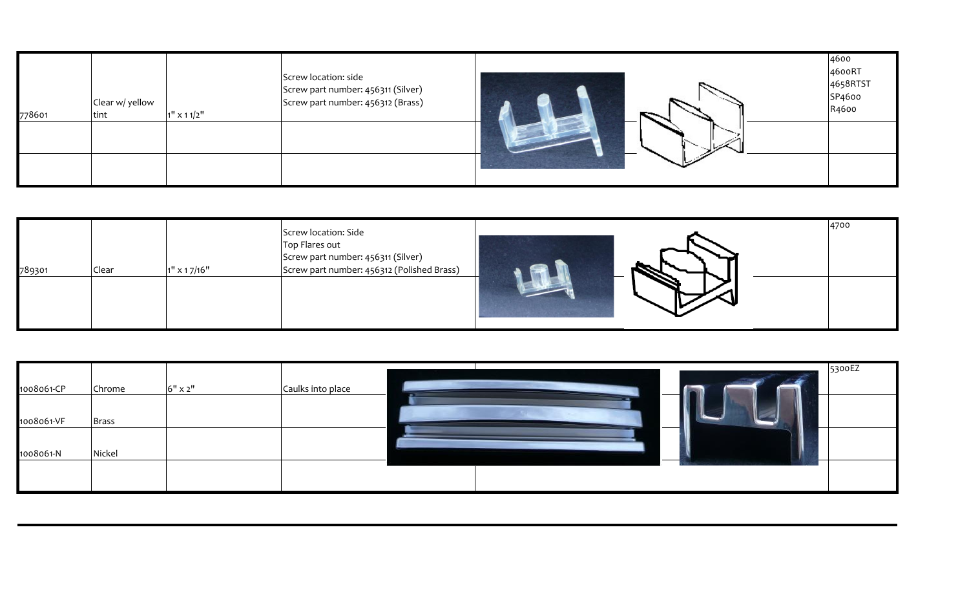| 778601 | Clear w/ yellow<br>tint | $1''$ x 1 1/2" | Screw location: side<br>Screw part number: 456311 (Silver)<br>Screw part number: 456312 (Brass) | 4600<br>4600RT<br>4658RTST<br>SP4600<br>R4600 |
|--------|-------------------------|----------------|-------------------------------------------------------------------------------------------------|-----------------------------------------------|
|        |                         |                |                                                                                                 |                                               |

| 789301 | Clear | $1''$ x 1 7/16" | Screw location: Side<br>Top Flares out<br>Screw part number: 456311 (Silver)<br>Screw part number: 456312 (Polished Brass) |  | 4700 |
|--------|-------|-----------------|----------------------------------------------------------------------------------------------------------------------------|--|------|
|        |       |                 |                                                                                                                            |  |      |

| 1008061-CP | Chrome | $6"$ x 2" | Caulks into place | 5300EZ |
|------------|--------|-----------|-------------------|--------|
| 1008061-VF | Brass  |           |                   |        |
| 1008061-N  | Nickel |           |                   |        |
|            |        |           |                   |        |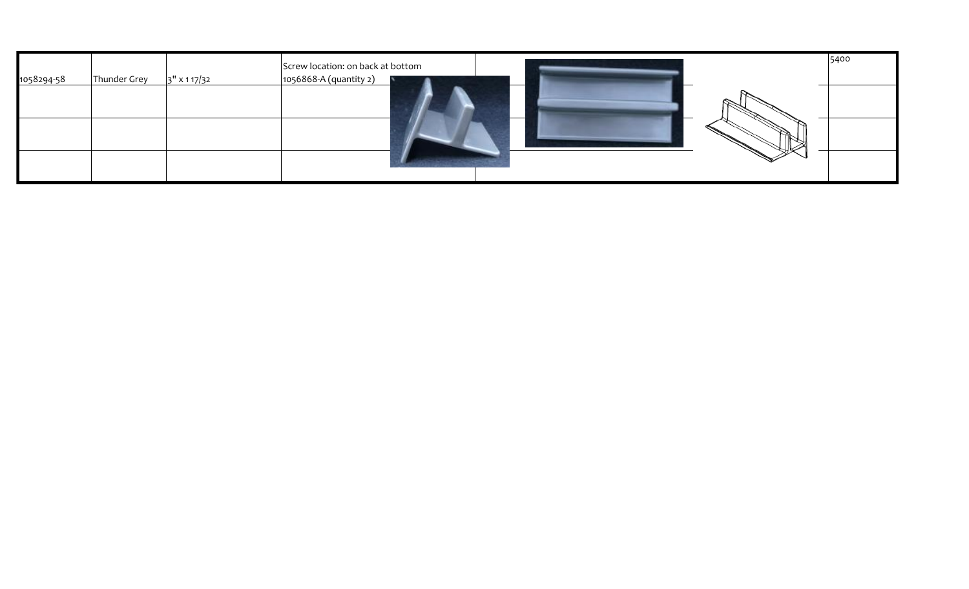| 1058294-58 | Thunder Grey | 3" x 1 17/32 | Screw location: on back at bottom<br>1056868-A (quantity 2) | 5400 |
|------------|--------------|--------------|-------------------------------------------------------------|------|
|            |              |              |                                                             |      |
|            |              |              |                                                             |      |
|            |              |              |                                                             |      |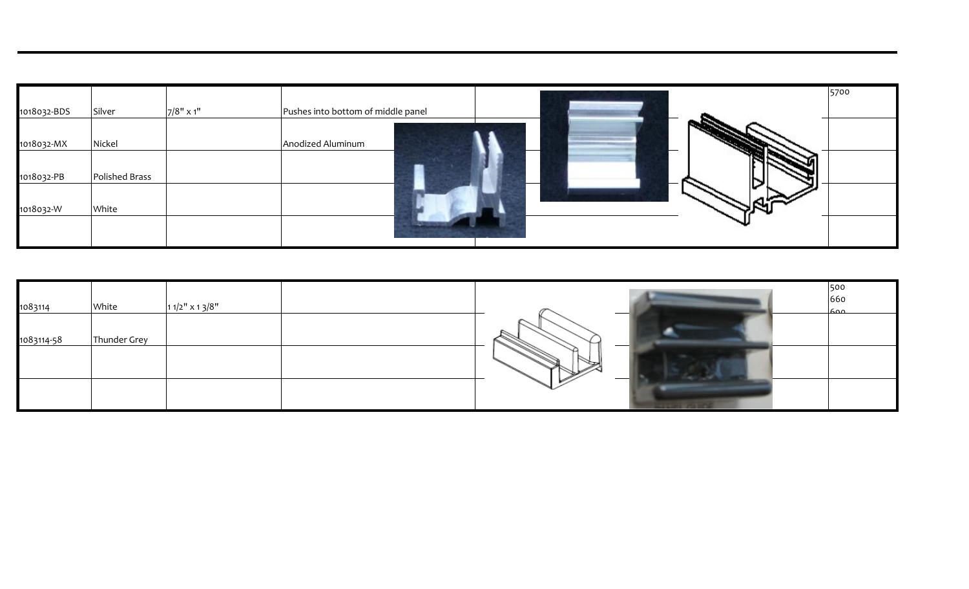| 1018032-BDS | Silver         | $7/8"$ x 1" | Pushes into bottom of middle panel |  |    | 5700 |
|-------------|----------------|-------------|------------------------------------|--|----|------|
| 1018032-MX  | Nickel         |             | Anodized Aluminum                  |  | __ |      |
| 1018032-PB  | Polished Brass |             |                                    |  |    |      |
| 1018032-W   | White          |             |                                    |  |    |      |
|             |                |             |                                    |  |    |      |

| 1083114    | White        | $11/2$ " x 1 3/8" | 500<br>660<br>ے ممک |
|------------|--------------|-------------------|---------------------|
| 1083114-58 | Thunder Grey |                   |                     |
|            |              |                   |                     |
|            |              |                   |                     |